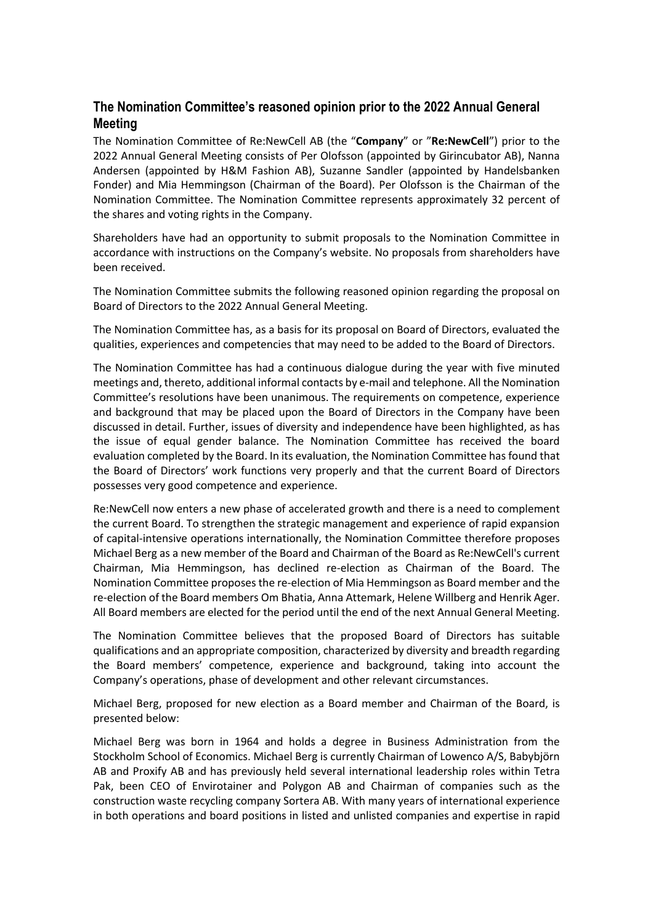## **The Nomination Committee's reasoned opinion prior to the 2022 Annual General Meeting**

The Nomination Committee of Re:NewCell AB (the "**Company**" or "**Re:NewCell**") prior to the 2022 Annual General Meeting consists of Per Olofsson (appointed by Girincubator AB), Nanna Andersen (appointed by H&M Fashion AB), Suzanne Sandler (appointed by Handelsbanken Fonder) and Mia Hemmingson (Chairman of the Board). Per Olofsson is the Chairman of the Nomination Committee. The Nomination Committee represents approximately 32 percent of the shares and voting rights in the Company.

Shareholders have had an opportunity to submit proposals to the Nomination Committee in accordance with instructions on the Company's website. No proposals from shareholders have been received.

The Nomination Committee submits the following reasoned opinion regarding the proposal on Board of Directors to the 2022 Annual General Meeting.

The Nomination Committee has, as a basis for its proposal on Board of Directors, evaluated the qualities, experiences and competencies that may need to be added to the Board of Directors.

The Nomination Committee has had a continuous dialogue during the year with five minuted meetings and, thereto, additional informal contacts by e-mail and telephone. All the Nomination Committee's resolutions have been unanimous. The requirements on competence, experience and background that may be placed upon the Board of Directors in the Company have been discussed in detail. Further, issues of diversity and independence have been highlighted, as has the issue of equal gender balance. The Nomination Committee has received the board evaluation completed by the Board. In its evaluation, the Nomination Committee has found that the Board of Directors' work functions very properly and that the current Board of Directors possesses very good competence and experience.

Re:NewCell now enters a new phase of accelerated growth and there is a need to complement the current Board. To strengthen the strategic management and experience of rapid expansion of capital-intensive operations internationally, the Nomination Committee therefore proposes Michael Berg as a new member of the Board and Chairman of the Board as Re:NewCell's current Chairman, Mia Hemmingson, has declined re-election as Chairman of the Board. The Nomination Committee proposes the re-election of Mia Hemmingson as Board member and the re-election of the Board members Om Bhatia, Anna Attemark, Helene Willberg and Henrik Ager. All Board members are elected for the period until the end of the next Annual General Meeting.

The Nomination Committee believes that the proposed Board of Directors has suitable qualifications and an appropriate composition, characterized by diversity and breadth regarding the Board members' competence, experience and background, taking into account the Company's operations, phase of development and other relevant circumstances.

Michael Berg, proposed for new election as a Board member and Chairman of the Board, is presented below:

Michael Berg was born in 1964 and holds a degree in Business Administration from the Stockholm School of Economics. Michael Berg is currently Chairman of Lowenco A/S, Babybjörn AB and Proxify AB and has previously held several international leadership roles within Tetra Pak, been CEO of Envirotainer and Polygon AB and Chairman of companies such as the construction waste recycling company Sortera AB. With many years of international experience in both operations and board positions in listed and unlisted companies and expertise in rapid